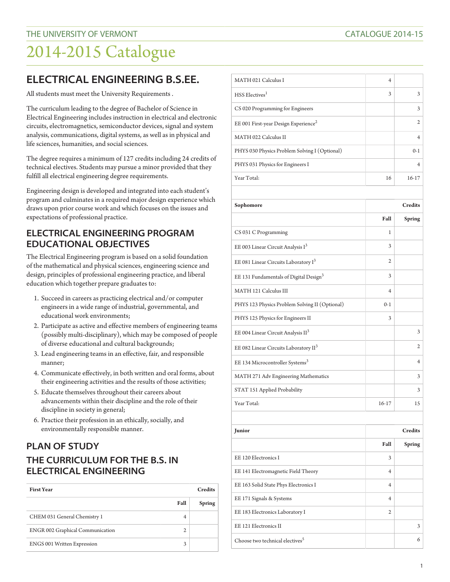# 2014-2015 Catalogue

### **ELECTRICAL ENGINEERING B.S.EE.**

All students must meet the University Requirements .

The curriculum leading to the degree of Bachelor of Science in Electrical Engineering includes instruction in electrical and electronic circuits, electromagnetics, semiconductor devices, signal and system analysis, communications, digital systems, as well as in physical and life sciences, humanities, and social sciences.

The degree requires a minimum of 127 credits including 24 credits of technical electives. Students may pursue a minor provided that they fulfill all electrical engineering degree requirements.

Engineering design is developed and integrated into each student's program and culminates in a required major design experience which draws upon prior course work and which focuses on the issues and expectations of professional practice.

#### **ELECTRICAL ENGINEERING PROGRAM EDUCATIONAL OBJECTIVES**

The Electrical Engineering program is based on a solid foundation of the mathematical and physical sciences, engineering science and design, principles of professional engineering practice, and liberal education which together prepare graduates to:

- 1. Succeed in careers as practicing electrical and/or computer engineers in a wide range of industrial, governmental, and educational work environments;
- 2. Participate as active and effective members of engineering teams (possibly multi-disciplinary), which may be composed of people of diverse educational and cultural backgrounds;
- 3. Lead engineering teams in an effective, fair, and responsible manner;
- 4. Communicate effectively, in both written and oral forms, about their engineering activities and the results of those activities;
- 5. Educate themselves throughout their careers about advancements within their discipline and the role of their discipline in society in general;
- 6. Practice their profession in an ethically, socially, and environmentally responsible manner.

#### **PLAN OF STUDY THE CURRICULUM FOR THE B.S. IN ELECTRICAL ENGINEERING**

| <b>First Year</b>                |      | Credits       |
|----------------------------------|------|---------------|
|                                  | Fall | <b>Spring</b> |
| CHEM 031 General Chemistry 1     | 4    |               |
| ENGR 002 Graphical Communication | 2.   |               |
| ENGS 001 Written Expression      | 3    |               |

| MATH 021 Calculus I                                | 4              |                |
|----------------------------------------------------|----------------|----------------|
| HSS Electives <sup>1</sup>                         | 3              | 3              |
| CS 020 Programming for Engineers                   |                | 3              |
| EE 001 First-year Design Experience <sup>2</sup>   |                | 2              |
| MATH 022 Calculus II                               |                | 4              |
| PHYS 030 Physics Problem Solving I (Optional)      |                | $0 - 1$        |
| PHYS 031 Physics for Engineers I                   |                | 4              |
| Year Total:                                        | 16             | $16-17$        |
|                                                    |                |                |
| Sophomore                                          |                | <b>Credits</b> |
|                                                    | Fall           | <b>Spring</b>  |
| CS 031 C Programming                               | 1              |                |
| EE 003 Linear Circuit Analysis I <sup>3</sup>      | 3              |                |
| EE 081 Linear Circuits Laboratory I <sup>3</sup>   | 2              |                |
| EE 131 Fundamentals of Digital Design <sup>3</sup> | 3              |                |
| MATH 121 Calculus III                              | $\overline{4}$ |                |
| PHYS 123 Physics Problem Solving II (Optional)     | $0 - 1$        |                |
| PHYS 125 Physics for Engineers II                  | 3              |                |
| EE 004 Linear Circuit Analysis II <sup>3</sup>     |                | 3              |
| EE 082 Linear Circuits Laboratory II <sup>3</sup>  |                | 2              |
| EE 134 Microcontroller Systems <sup>3</sup>        |                | 4              |
| MATH 271 Adv Engineering Mathematics               |                | 3              |
| STAT 151 Applied Probability                       |                | 3              |
| Year Total:                                        | 16-17          | 15             |
|                                                    |                |                |
| Junior                                             |                | <b>Credits</b> |
|                                                    | Fall           | <b>Spring</b>  |
| EE 120 Electronics I                               | 3              |                |
| EE 141 Electromagnetic Field Theory                | $\overline{4}$ |                |
| EE 163 Solid State Phys Electronics I              | 4              |                |
| EE 171 Signals & Systems                           | 4              |                |
| EE 183 Electronics Laboratory I                    | 2              |                |
| EE 121 Electronics II                              |                | 3              |
| Choose two technical electives <sup>5</sup>        |                | 6              |